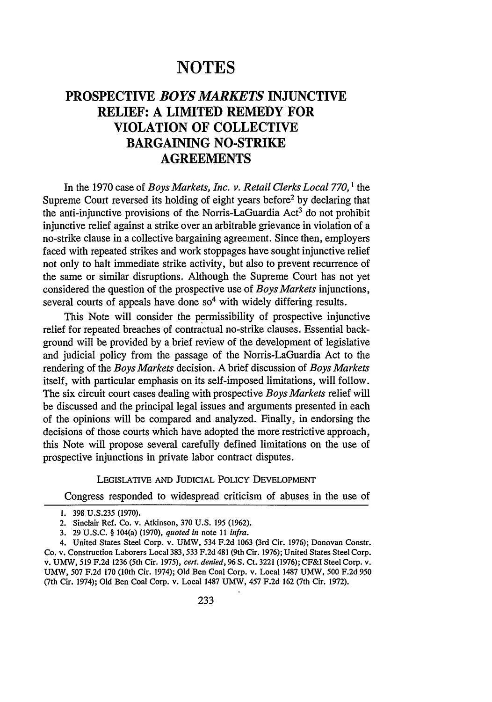# **NOTES**

## **PROSPECTIVE** *BOYS MARKETS* **INJUNCTIVE RELIEF: A LIMITED REMEDY FOR VIOLATION** OF **COLLECTIVE BARGAINING NO-STRIKE AGREEMENTS**

In the 1970 case of *Boys Markets, Inc. v. Retail Clerks Local 770,1* the Supreme Court reversed its holding of eight years before2 **by** declaring that the anti-injunctive provisions of the Norris-LaGuardia  $Act<sup>3</sup>$  do not prohibit injunctive relief against a strike over an arbitrable grievance in violation of a no-strike clause in a collective bargaining agreement. Since then, employers faced with repeated strikes and work stoppages have sought injunctive relief not only to halt immediate strike activity, but also to prevent recurrence of the same or similar disruptions. Although the Supreme Court has not yet considered the question of the prospective use of *Boys Markets* injunctions, several courts of appeals have done  $so<sup>4</sup>$  with widely differing results.

This Note will consider the permissibility of prospective injunctive relief for repeated breaches **of** contractual no-strike clauses. Essential background will be provided **by** a brief review of the development of legislative and judicial policy from the passage of the Norris-LaGuardia Act to the rendering of the *Boys Markets* decision. A brief discussion of *Boys Markets* itself, with particular emphasis on its self-imposed limitations, will follow. The six circuit court cases dealing with prospective *Boys Markets* relief will be discussed and the principal legal issues and arguments presented in each of the opinions will be compared and analyzed. Finally, in endorsing the decisions of those courts which have adopted the more restrictive approach, this Note will propose several carefully defined limitations on the use of prospective injunctions in private labor contract disputes.

#### LEGISLATIVE **AND** JUDICIAL POLICY DEVELOPMENT

Congress responded to widespread criticism of abuses in the use of

**<sup>1.</sup>** 398 U.S.235 (1970).

<sup>2.</sup> Sinclair Ref. Co. v. Atkinson, 370 U.S. 195 (1962).

<sup>3. 29</sup> U.S.C. § 104(a) (1970), *quoted in* note *11 infra.*

<sup>4.</sup> United States Steel Corp. v. UMW, 534 F.2d 1063 (3rd Cir. 1976); Donovan Constr. Co. v. Construction Laborers Local 383, 533 F.2d 481 (9th Cir. 1976); United States Steel Corp. v. UMW, 519 F.2d 1236 (5th Cir. 1975), *cert. denied,* 96 S. Ct. 3221 (1976); CF&I Steel Corp. v. UMW, 507 F.2d 170 (10th Cir. 1974); Old Ben Coal Corp. v. Local 1487 UMW, 500 F.2d 950 (7th Cir. 1974); Old Ben Coal Corp. v. Local 1487 UMW, 457 F.2d 162 (7th Cir. 1972).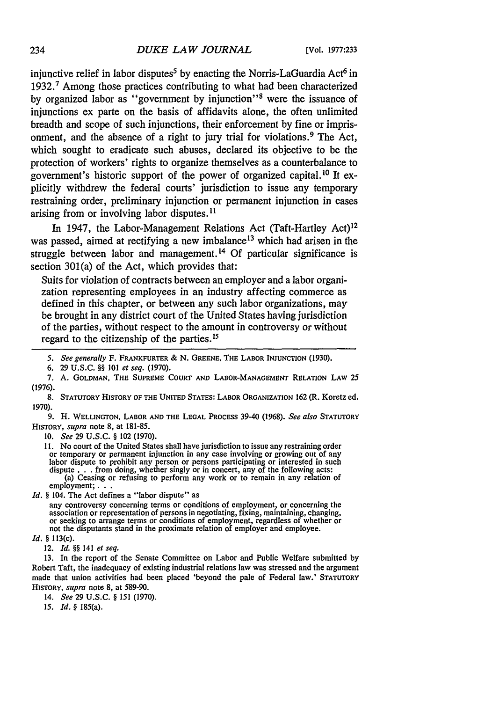injunctive relief in labor disputes<sup>5</sup> by enacting the Norris-LaGuardia Act<sup>6</sup> in 1932.<sup>7</sup> Among those practices contributing to what had been characterized by organized labor as "government by injunction"<sup>8</sup> were the issuance of injunctions ex parte on the basis of affidavits alone, the often unlimited breadth and scope of such injunctions, their enforcement by fine or imprisonment, and the absence of a right to jury trial for violations.9 The Act, which sought to eradicate such abuses, declared its objective to be the protection of workers' rights to organize themselves as a counterbalance to government's historic support of the power of organized capital. 10 It explicitly withdrew the federal courts' jurisdiction to issue any temporary restraining order, preliminary injunction or permanent injunction in cases arising from or involving labor disputes.<sup>11</sup>

In 1947, the Labor-Management Relations Act (Taft-Hartley Act)<sup>12</sup> was passed, aimed at rectifying a new imbalance<sup>13</sup> which had arisen in the struggle between labor and management.<sup>14</sup> Of particular significance is section 301(a) of the Act, which provides that:

Suits for violation of contracts between an employer and a labor organization representing employees in an industry affecting commerce as defined in this chapter, or between any such labor organizations, may be brought in any district court of the United States having jurisdiction of the parties, without respect to the amount in controversy or without regard to the citizenship of the parties.<sup>15</sup>

6. 29 U.S.C. **§§** 101 *et seq.* (1970).

7. A. **GOLDMAN, THE SUPREME COURT AND LABOR-MANAGEMENT** RELATION **LAW** 25 (1976).

**8. STATUTORY HISTORY OF THE UNITED STATES: LABOR ORGANIZATION** 162 (R. Koretz ed. 1970).

**9.** H. WELLINGTON, **LABOR AND THE LEGAL PROCESS** 39-40 **(1968).** *See also* **STATUTORY** HISTORY, *supra* note 8, at 181-85.

*10. See* 29 U.S.C. **§** 102 (1970).

**11.** No court of the United States shall have jurisdiction to issue any restraining order or temporary or permanent injunction in any case involving or growing out of any<br>labor dispute to prohibit any person or persons participating or interested in such<br>dispute . . . from doing, whether singly or in concert, a (a) Ceasing or refusing to perform any work or to remain in any relation of employment; . .

*Id. §* 104. The Act defines a "labor dispute" as

any controversy concerning terms or conditions of employment, or concerning the any control of persons in negotiating, fixing, maintaining, changing, association or representation of persons in negotiating, fixing, maintaining, changing, or seeking to arrange terms or conditions of employment, regardl

Id. § 113(c).

12. Id. §§ 141 et seq.

13. In the report of the Senate Committee on Labor and Public Welfare submitted by Robert Taft, the inadequacy of existing industrial relations law was stressed and the argument made that union activities had been placed 'beyond the pale of Federal law.' STATUTORY HISTORY, *supra* note 8, at 589-90.

14. *See* **29 U.S.C.** *§* 151 (1970).

**15.** Id. **§** 185(a).

*<sup>5.</sup> See generally* F. **FRANKFURTER** & **N. GREENE, THE LABOR INJUNCTION (1930).**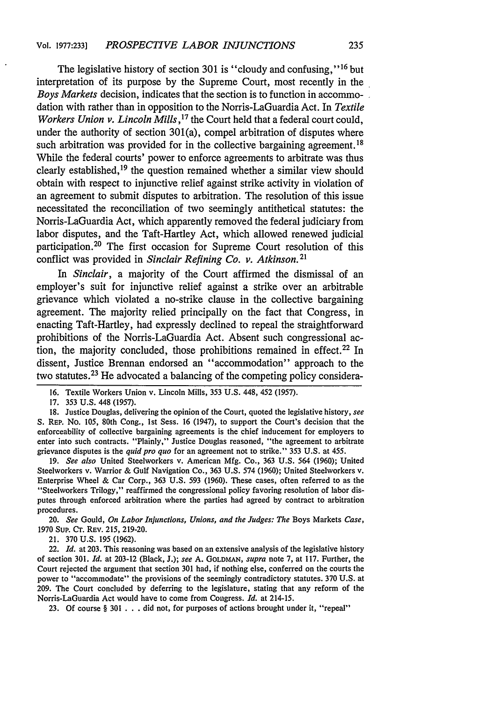The legislative history of section 301 is "cloudy and confusing,"<sup>16</sup> but interpretation of its purpose by the Supreme Court, most recently in the *Boys Markets* decision, indicates that the section is to function in accommodation with rather than in opposition to the Norris-LaGuardia Act. In *Textile Workers Union v. Lincoln Mills*,<sup>17</sup> the Court held that a federal court could, under the authority of section 301(a), compel arbitration of disputes where such arbitration was provided for in the collective bargaining agreement.<sup>18</sup> While the federal courts' power to enforce agreements to arbitrate was thus clearly established,<sup>19</sup> the question remained whether a similar view should obtain with respect to injunctive relief against strike activity in violation of an agreement to submit disputes to arbitration. The resolution of this issue necessitated the reconciliation of two seemingly antithetical statutes: the Norris-LaGuardia Act, which apparently removed the federal judiciary from labor disputes, and the Taft-Hartley Act, which allowed renewed judicial participation.<sup>20</sup> The first occasion for Supreme Court resolution of this conflict was provided in *Sinclair Refining Co. v. Atkinson.* **21**

In *Sinclair,* a majority of the Court affirmed the dismissal of an employer's suit for injunctive relief against a strike over an arbitrable grievance which violated a no-strike clause in the collective bargaining agreement. The majority relied principally on the fact that Congress, in enacting Taft-Hartley, had expressly declined to repeal the straightforward prohibitions of the Norris-LaGuardia Act. Absent such congressional action, the majority concluded, those prohibitions remained in effect.<sup>22</sup> In dissent, Justice Brennan endorsed an "accommodation" approach to the two statutes.<sup>23</sup> He advocated a balancing of the competing policy considera-

17. 353 U.S. 448 (1957).

18. Justice Douglas, delivering the opinion of the Court, quoted the legislative history, see S. REP. No. 105, 80th Cong., Ist Sess. 16 (1947), to support the Court's decision that the enforceability of collective bargaining agreements is the chief inducement for employers to enter into such contracts. "Plainly," Justice Douglas reasoned, "the agreement to arbitrate grievance disputes is the *quid pro quo* for an agreement not to strike." 353 U.S. at 455.

19. *See also* United Steelworkers v. American Mfg. Co., 363 U.S. 564 (1960); United Steelworkers v. Warrior & Gulf Navigation Co., 363 U.S. 574 (1960); United Steelworkers v. Enterprise Wheel & Car Corp., 363 U.S. 593 (1960). These cases, often referred to as the "Steelworkers Trilogy," reaffirmed the congressional policy favoring resolution of labor disputes through enforced arbitration where the parties had agreed by contract to arbitration procedures.

20. *See* Gould, *On Labor Injunctions, Unions, and the Judges: The* Boys Markets *Case,* 1970 Sup. **CT.** REV. 215, 219-20.

21. 370 U.S. 195 (1962).

22. *Id.* at 203. This reasoning was based on an extensive analysis of the legislative history of section 301. *Id.* at 203-12 (Black, J.); *see* A. **GOLDMAN,** *supra* note 7, at 117. Further, the Court rejected the argument that section 301 had, if nothing else, conferred on the courts the power to "accommodate" the provisions of the seemingly contradictory statutes. 370 U.S. at 209. The Court concluded by deferring to the legislature, stating that any reform of the Norris-LaGuardia Act would have to come from Congress. *Id.* at 214-15.

**23. Of** course § **301 . . .**did not, for purposes of actions brought under it, "repeal"

<sup>16.</sup> Textile Workers Union v. Lincoln Mills, 353 U.S. 448, 452 (1957).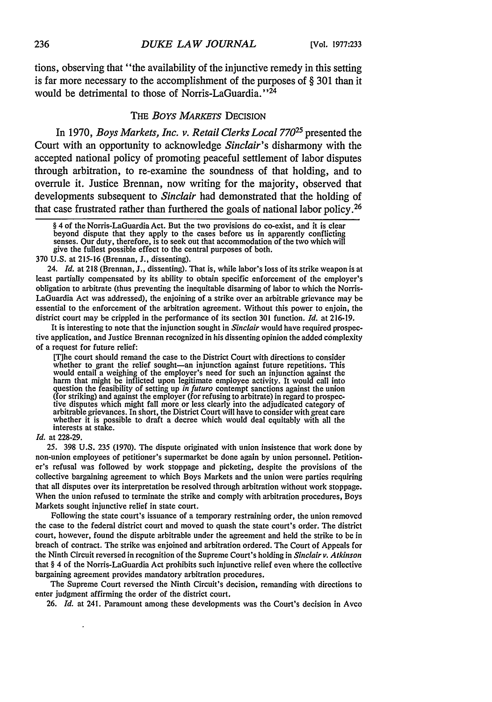tions, observing that "the availability of the injunctive remedy in this setting is far more necessary to the accomplishment of the purposes of § 301 than it would be detrimental to those of Norris-LaGuardia."<sup>24</sup>

#### THE *BoYs MARKETS* DECISION

In 1970, *Boys Markets, Inc. v. Retail Clerks Local 77025* presented the Court with an opportunity to acknowledge *Sinclair's* disharmony with the accepted national policy of promoting peaceful settlement of labor disputes through arbitration, to re-examine the soundness of that holding, and to overrule it. Justice Brennan, now writing for the majority, observed that developments subsequent to *Sinclair* had demonstrated that the holding of that case frustrated rather than furthered the goals of national labor policy. <sup>26</sup>

370 U.S. at 215-16 (Brennan, J., dissenting).

24. *Id.* at 218 (Brennan, J., dissenting). That is, while labor's loss of its strike weapon is at least partially compensated by its ability to obtain specific enforcement of the employer's obligation to arbitrate (thus preventing the inequitable disarming of labor to which the Norris-LaGuardia Act was addressed), the enjoining of a strike over an arbitrable grievance may be essential to the enforcement of the arbitration agreement. Without this power to enjoin, the district court may be crippled in the performance of its section 301 function. *Id.* at 216-19.

It is interesting to note that the injunction sought in *Sinclair* would have required prospective application, and Justice Brennan recognized in his dissenting opinion the added complexity of a request for future relief:

[T]he court should remand the case to the District Court with directions to consider whether to grant the relief sought—an injunction against future repetitions. This would entail a weighing of the employer's need for such question the feasibility of setting up *in futuro* contempt sanctions against the union (for striking) and against the employer (for refusing to arbitrate) in regard to prospec- tive disputes which might fall more or less clearly into the adjudicated category of ive disputes which might fall more or less clearly into the adjudicated category of arbitrable grievances. In short, the District Court will have to consider with great care whether it is possible to draft a decree which w interests at stake.

#### *Id.* at 228-29.

25. 398 U.S. 235 (1970). The dispute originated with union insistence that work done by non-union employees of petitioner's supermarket be done again by union personnel. Petitioner's refusal was followed by work stoppage and picketing, despite the provisions of the collective bargaining agreement to which Boys Markets and the union were parties requiring that all disputes over its interpretation be resolved through arbitration without work stoppage. When the union refused to terminate the strike and comply with arbitration procedures, Boys Markets sought injunctive relief in state court.

Following the state court's issuance of a temporary restraining order, the union removed the case to the federal district court and moved to quash the state court's order. The district court, however, found the dispute arbitrable under the agreement and held the strike to be in breach of contract. The strike was enjoined and arbitration ordered. The Court of Appeals for the Ninth Circuit reversed in recognition of the Supreme Court's holding in *Sinclair v. Atkinson* that § 4 of the Norris-LaGuardia Act prohibits such injunctive relief even where the collective bargaining agreement provides mandatory arbitration procedures.

The Supreme Court reversed the Ninth Circuit's decision, remanding with directions to enter judgment affirming the order of the district court.

26. *Id.* at 241. Paramount among these developments was the Court's decision in Avco

<sup>§ 4</sup> of the Norris-LaGuardia Act. But the two provisions do co-exist, and it is clear beyond dispute that they apply to the cases before us in apparently conflicting beyond dispute that they apply to the cases before us in apparently conflicting senses. Our duty, therefore, is to seek out that accommodation of the two which will give the fullest possible effect to the central purposes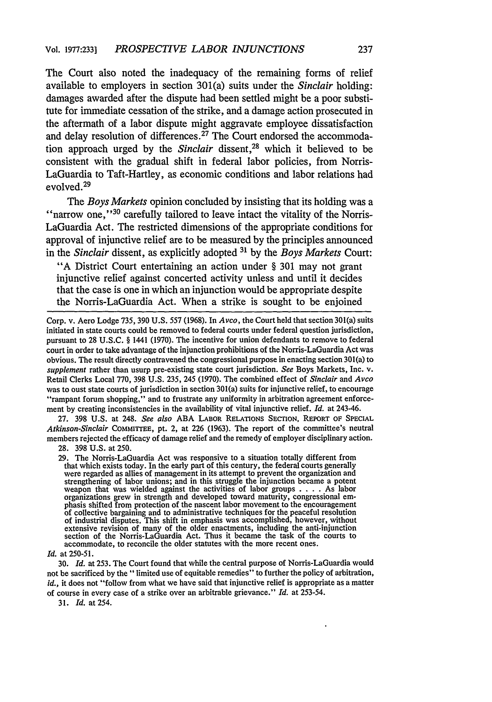The Court also noted the inadequacy of the remaining forms of relief available to employers in section 301(a) suits under the *Sinclair* holding: damages awarded after the dispute had been settled might be a poor substitute for immediate cessation of the strike, and a damage action prosecuted in the aftermath of a labor dispute might aggravate employee dissatisfaction and delay resolution of differences.<sup>27</sup> The Court endorsed the accommodation approach urged by the *Sinclair* dissent, 28 which it believed to be consistent with the gradual shift in federal labor policies, from Norris-LaGuardia to Taft-Hartley, as economic conditions and labor relations had evolved.<sup>29</sup>

The *Boys Markets* opinion concluded by insisting that its holding was a "narrow one,"<sup>30</sup> carefully tailored to leave intact the vitality of the Norris-LaGuardia Act. The restricted dimensions of the appropriate conditions for approval of injunctive relief are to be measured by the principles announced in the *Sinclair* dissent, as explicitly adopted **31** by the *Boys Markets* Court:

"A District Court entertaining an action under § 301 may not grant injunctive relief against concerted activity unless and until it decides that the case is one in which an injunction would be appropriate despite the Norris-LaGuardia Act. When a strike is sought to be enjoined

Corp. v. Aero Lodge 735, 390 U.S. 557 (1968). In *Avco,* the Court held that section 301(a) suits initiated in state courts could be removed to federal courts under federal question jurisdiction, pursuant to 28 U.S.C. § 1441 (1970). The incentive for union defendants to remove to federal court in order to take advantage of the injunction prohibitions of the Norris-LaGuardia Act was obvious. The result directly contravened the congressional purpose in enacting section 301(a) to *supplement* rather than usurp pre-existing state court jurisdiction. *See* Boys Markets, Inc. v. Retail Clerks Local 770, 398 U.S. 235, 245 (1970). The combined effect of *Sinclair* and *Avco* was to oust state courts of jurisdiction in section 301(a) suits for injunctive relief, to encourage "rampant forum shopping," and to frustrate any uniformity in arbitration agreement enforcement by creating inconsistencies in the availability of vital injunctive relief. *Id.* at 243-46.

**27. 398 U.S.** at 248. *See also* ABA LABOR **RELATIONS SECTION,** REPORT OF SPECIAL *Atkinson-Sinclair* COMMITrEE, pt. 2, at 226 (1963). The report of the committee's neutral members rejected the efficacy of damage relief and the remedy of employer disciplinary action. 28. 398 U.S. at 250.

29. The Norris-LaGuardia Act was responsive to a situation totally different from that which exists today. In the early part of this century, the federal courts generally were regarded as allies of management in its attempt to prevent the organization and strengthening of labor unions; and in this struggle the injunction became a potent weapon that was wielded against the activities of labor groups . **. .** . As labor organizations grew in strength and developed toward maturity, congressional em- phasis shifted from protection of the nascent labor movement to the encouragement of collective bargaining and to administrative techniques for the peaceful resolution of industrial disputes. This shift in emphasis was accomplished, however, without extensive revision of many of the older enactments, including the anti-injunction section of the Norris-LaGuardia Act. Thus it became the task of the courts to accommodate, to reconcile the older statutes with the more recent ones.

*Id.* at 250-51.

30. *Id.* at 253. The Court found that while the central purpose of Norris-LaGuardia would not be sacrificed by the "limited use of equitable remedies" to further the policy of arbitration, *id.,* it does not "follow from what we have said that injunctive relief is appropriate as a matter of course in every case of a strike over an arbitrable grievance." *Id.* at 253-54.

31. *Id.* at 254.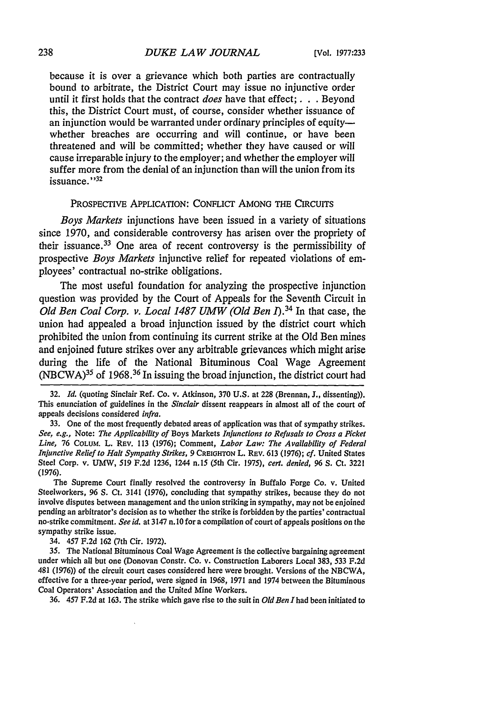because it is over a grievance which both parties are contractually bound to arbitrate, the District Court may issue no injunctive order until it first holds that the contract *does* have that effect: . . . Beyond this, the District Court must, of course, consider whether issuance of an injunction would be warranted under ordinary principles of equitywhether breaches are occurring and will continue, or have been threatened and will be committed; whether they have caused or will cause irreparable injury to the employer; and whether the employer will suffer more from the denial of an injunction than will the union from its issuance."<sup>32</sup>

#### PROSPECTIVE APPLICATION: CONFLICT AMONG THE CIRCUITS

*Boys Markets* injunctions have been issued in a variety of situations since 1970, and considerable controversy has arisen over the propriety of their issuance.<sup>33</sup> One area of recent controversy is the permissibility of prospective *Boys Markets* injunctive relief for repeated violations of employees' contractual no-strike obligations.

The most useful foundation for analyzing the prospective injunction question was provided by the Court of Appeals for the Seventh Circuit in *Old Ben Coal Corp. v. Local 1487 UMW (Old Ben* 1).34 In that case, the union had appealed a broad injunction issued by the district court which prohibited the union from continuing its current strike at the Old Ben mines and enjoined future strikes over any arbitrable grievances which might arise during the life of the National Bituminous Coal Wage Agreement **(NBCWA)<sup>3</sup> <sup>5</sup>**of **1968.36** In issuing the broad injunction, the district court had

32. *Id.* (quoting Sinclair Ref. Co. v. Atkinson, 370 U.S. at 228 (Brennan, J., dissenting)). This enunciation of guidelines in the *Sinclair* dissent reappears in almost all of the court of appeals decisions considered *infra.*

33. One of the most frequently debated areas of application was that of sympathy strikes. *See, e.g.,* Note: *The Applicability of* Boys Markets *Injunctions to Refusals to Cross a Picket Line,* 76 COLUM. L. REV. 113 **(1976);** Comment, *Labor Law: The Availability of Federal Injunctive Relief to Halt Sympathy Strikes,* 9 CREIGHTON L. REV. 613 (1976); *cf.* United States Steel Corp. v. UMW, 519 F.2d 1236, 1244 n.15 (5th Cir. 1975), *cert. denied,* 96 **S.** Ct. 3221 (1976).

The Supreme Court finally resolved the controversy in Buffalo Forge Co. v. United Steelworkers, 96 S. Ct. 3141 (1976), concluding that sympathy strikes, because they do not involve disputes between management and the union striking in sympathy, may not be enjoined pending an arbitrator's decision as to whether the strike is forbidden **by** the parties' contractual no-strike commitment. *See id.* at 3147 n.10 fora compilation of court of appeals positions on the sympathy strike issue.

34. 457 F.2d 162 (7th Cir. 1972).

35. The National Bituminous Coal Wage Agreement is the collective bargaining agreement under which all but one (Donovan Constr. Co. v. Construction Laborers Local 383, 533 F.2d 481 (1976)) of the circuit court cases considered here were brought. Versions of the NBCWA, effective for a three-year period, were signed in 1968, 1971 and 1974 between the Bituminous Coal Operators' Association and the United Mine Workers.

36. 457 F.2d at 163. The strike which gave rise to the suit in *Old Ben I* had been initiated to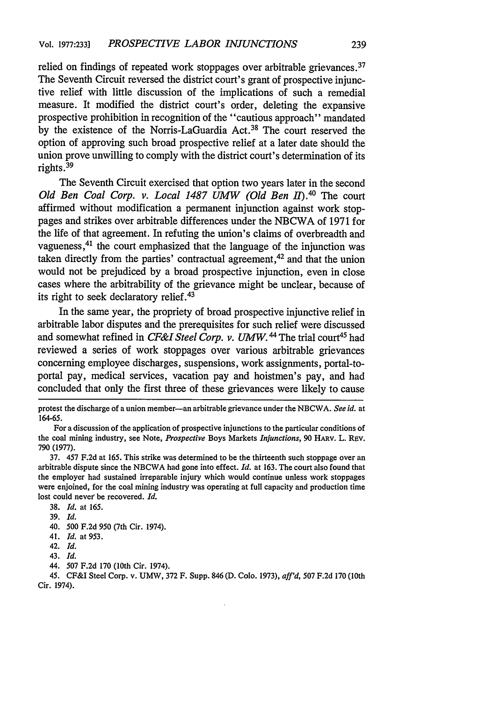relied on findings of repeated work stoppages over arbitrable grievances.<sup>37</sup> The Seventh Circuit reversed the district court's grant of prospective injunctive relief with little discussion of the implications of such a remedial measure. It modified the district court's order, deleting the expansive prospective prohibition in recognition of the "cautious approach" mandated by the existence of the Norris-LaGuardia Act.<sup>38</sup> The court reserved the option of approving such broad prospective relief at a later date should the union prove unwilling to comply with the district court's determination of its rights. $39$ 

The Seventh Circuit exercised that option two years later in the second *Old Ben Coal Corp. v. Local 1487 UMW (Old Ben II).<sup>40</sup> The court* affirmed without modification a permanent injunction against work stoppages and strikes over arbitrable differences under the NBCWA of 1971 for the life of that agreement. In refuting the union's claims of overbreadth and vagueness,41 the court emphasized that the language of the injunction was taken directly from the parties' contractual agreement,  $42$  and that the union would not be prejudiced by a broad prospective injunction, even in close cases where the arbitrability of the grievance might be unclear, because of its right to seek declaratory relief.<sup>43</sup>

In the same year, the propriety of broad prospective injunctive relief in arbitrable labor disputes and the prerequisites for such relief were discussed and somewhat refined in *CF&I Steel Corp. v. UMW*.<sup>44</sup> The trial court<sup>45</sup> had reviewed a series of work stoppages over various arbitrable grievances concerning employee discharges, suspensions, work assignments, portal-toportal pay, medical services, vacation pay and hoistmen's pay, and had concluded that only the first three of these grievances were likely to cause

protest the discharge of a union member-an arbitrable grievance under the NBCWA. *See id.* at 164-65.

For a discussion of the application of prospective injunctions to the particular conditions of the coal mining industry, see Note, *Prospective* Boys Markets *Injunctions,* 90 HARv. L. REv. 790 (1977).

<sup>37. 457</sup> F.2d at 165. This strike was determined to be the thirteenth such stoppage over an arbitrable dispute since the NBCWA had gone into effect. *Id.* at 163. The court also found that the employer had sustained irreparable injury which would continue unless work stoppages were enjoined, for the coal mining industry was operating at full capacity and production time lost could never be recovered. *Id.*

<sup>38.</sup> *Id.* at 165.

<sup>39.</sup> Id.

<sup>40. 500</sup> F.2d 950 (7th Cir. 1974).

<sup>41.</sup> *Id.* at 953.

<sup>42.</sup> Id.

<sup>43.</sup> *Id.*

<sup>44. 507</sup> F.2d 170 (10th Cir. 1974).

*<sup>45.</sup>* CF&I Steel Corp. v. UMW, 372 F. Supp. 846 (D. Colo. 1973), *aff'd,* 507 F.2d 170 (10th Cir. 1974).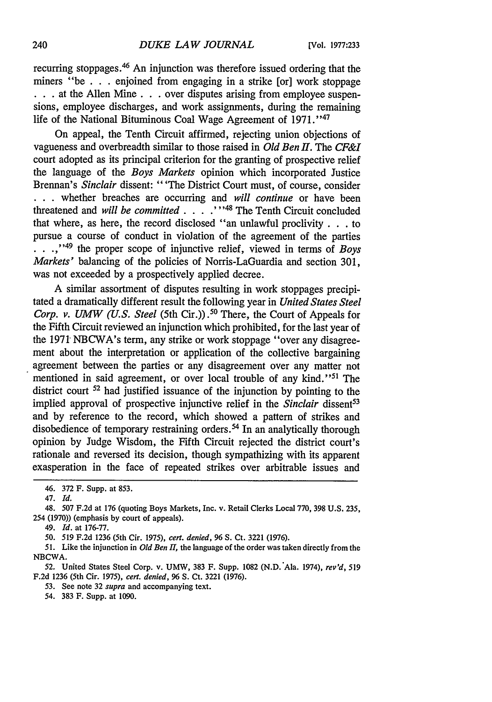recurring stoppages.<sup>46</sup> An injunction was therefore issued ordering that the miners "be **. . .** enjoined from engaging in a strike [or] work stoppage • **. .** at the Allen Mine **. .** . over disputes arising from employee suspensions, employee discharges, and work assignments, during the remaining life of the National Bituminous Coal Wage Agreement of 1971."<sup>47</sup>

On appeal, the Tenth Circuit affirmed, rejecting union objections of vagueness and overbreadth similar to those raised in *Old Ben 11.* The *CF&I* court adopted as its principal criterion for the granting of prospective relief the language of the *Boys Markets* opinion which incorporated Justice Brennan's *Sinclair* dissent: "'The District Court must, of course, consider **. .** . whether breaches are occurring and *will continue* or have been threatened and *will be committed ...* .<sup>1148</sup> The Tenth Circuit concluded that where, as here, the record disclosed "an unlawful proclivity **. . .** to pursue a course of conduct in violation of the agreement of the parties . . .,"<sup>49</sup> the proper scope of injunctive relief, viewed in terms of *Boys Markets'* balancing of the policies of Norris-LaGuardia and section 301, was not exceeded by a prospectively applied decree.

A similar assortment of disputes resulting in work stoppages precipitated a dramatically different result the following year in *United States Steel Corp. v. UMW (U.S. Steel (5th Cir.)).*<sup>50</sup> There, the Court of Appeals for the Fifth Circuit reviewed an injunction which prohibited, for the last year of the 1971 NBCWA's term, any strike or work stoppage "over any disagreement about the interpretation or application of the collective bargaining agreement between the parties or any disagreement over any matter not mentioned in said agreement, or over local trouble of any kind."<sup>51</sup> The district court 52 had justified issuance of the injunction by pointing to the implied approval of prospective injunctive relief in the *Sinclair* dissent<sup>53</sup> and by reference to the record, which showed a pattern of strikes and disobedience of temporary restraining orders. 54 In an analytically thorough opinion by Judge Wisdom, the Fifth Circuit rejected the district court's rationale and reversed its decision, though sympathizing with its apparent exasperation in the face of repeated strikes over arbitrable issues and

50. 519 F.2d 1236 (5th Cir. 1975), cert. denied, 96 S. Ct. 3221 (1976).

51. Like the injunction in *Old Ben II,* the language of the order was taken directly from the NBCWA.

52. United States Steel Corp. v. UMW, 383 F. Supp. 1082 (N.D. Ala. 1974), *rev'd,* <sup>519</sup> F.2d 1236 (5th Cir. 1975), *cert. denied,* 96 **S.** Ct. 3221 (1976).

53. See note 32 *supra* and accompanying text.

54. 383 F. Supp. at 1090.

<sup>46. 372</sup> F. Supp. at 853.

<sup>47.</sup> *Id.*

<sup>48. 507</sup> F.2d at 176 (quoting Boys Markets, Inc. v. Retail Clerks Local 770, 398 U.S. 235, 254 (1970)) (emphasis by court of appeals).

<sup>49.</sup> *Id.* at 176-77.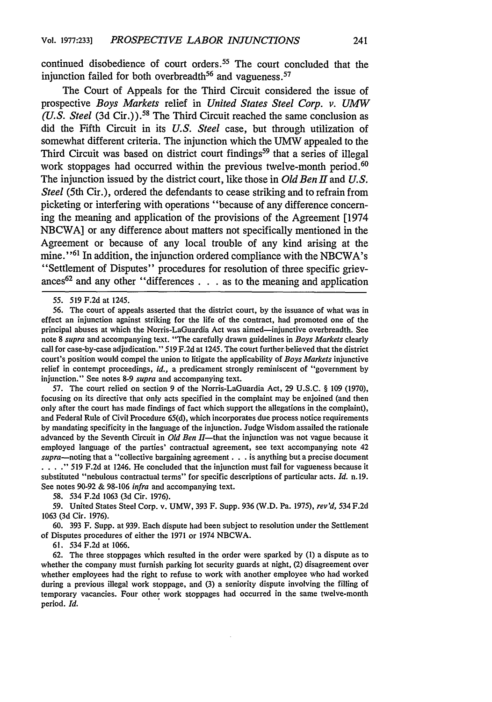continued disobedience of court orders. 55 The court concluded that the injunction failed for both overbreadth<sup>56</sup> and vagueness.<sup>57</sup>

The Court of Appeals for the Third Circuit considered the issue of prospective *Boys Markets* relief in *United States Steel Corp. v. UMW (U.S. Steel* **(3d** Cir.) **).51** The Third Circuit reached the same conclusion as did the Fifth Circuit in its *U.S. Steel* case, but through utilization of somewhat different criteria. The injunction which the **UMW** appealed to the Third Circuit was based on district court findings<sup>59</sup> that a series of illegal work stoppages had occurred within the previous twelve-month period.<sup>60</sup> The injunction issued **by** the district court, like those in *Old Ben I* and *U.S. Steel* (5th Cir.), ordered the defendants to cease striking and to refrain from picketing or interfering with operations "because of any difference concerning the meaning and application of the provisions of the Agreement [1974 **NBCWA]** or any difference about matters not specifically mentioned in the Agreement or because of any local trouble of any kind arising at the mine."<sup>61</sup> In addition, the injunction ordered compliance with the NBCWA's "Settlement of Disputes" procedures for resolution of three specific grievances 62 and any other "differences **. . .**as to the meaning and application

55. 519 F.2d at 1245.

56. The court of appeals asserted that the district court, by the issuance of what was in effect an injunction against striking for the life of the contract, had promoted one of the principal abuses at which the Norris-LaGuardia Act was aimed-injunctive overbreadth. See note 8 *supra* and accompanying text. "The carefully drawn guidelines in *Boys Markets* clearly call for case-by-case adjudication." 519 F.2d at 1245. The court further believed that the district court's position would compel the union to litigate the applicability of *Boys Markets* injunctive relief in contempt proceedings, *id.,* a predicament strongly reminiscent of "government by injunction." See notes 8-9 *supra* and accompanying text.

57. The court relied on section 9 of the Norris-LaGuardia Act, 29 U.S.C. § 109 (1970), focusing on its directive that only acts specified in the complaint may be enjoined (and then only after the court has made findings of fact which support the allegations in the complaint), and Federal Rule of Civil Procedure 65(d), which incorporates due process notice requirements by mandating specificity in the language of the injunction. Judge Wisdom assailed the rationale advanced by the Seventh Circuit in *Old Ben II*—that the injunction was not vague because it employed language of the parties' contractual agreement, see text accompanying note 42 *supra-noting* that a "collective bargaining agreement. **. .** is anything but a precise document **.... "** 519 F.2d at 1246. He concluded that the injunction must fail for vagueness because it substituted "nebulous contractual terms" for specific descriptions of particular acts. *Id.* n.19.

See notes 90-92 & 98-106 *infra* and accompanying text.

58. 534 F.2d 1063 (3d Cir. 1976).

59. United States Steel Corp. v. UMW, 393 F. Supp. 936 (W.D. Pa. 1975), *rev'd,* 534 F.2d 1063 (3d Cir. 1976).

60. 393 F. Supp. at 939. Each dispute had been subject to resolution under the Settlement of Disputes procedures of either the 1971 or 1974 NBCWA.

61. 534 F.2d at 1066.

62. The three stoppages which resulted in the order were sparked by (1) a dispute as to whether the company must furnish parking lot security guards at night, (2) disagreement over whether employees had the right to refuse to work with another employee who had worked during a previous illegal work stoppage, and (3) a seniority dispute involving the filling of temporary vacancies. Four other work stoppages had occurred in the same twelve-month period. *Id.*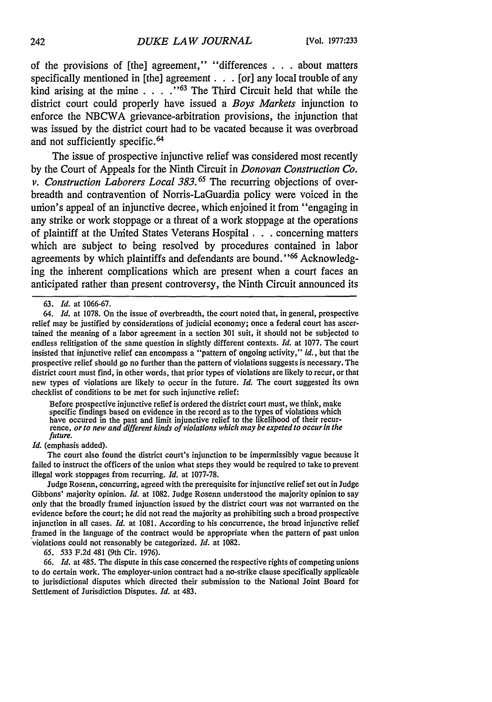of the provisions of [the] agreement," "differences **.** . **.** about matters specifically mentioned in [the] agreement **. .** . [or] any local trouble of any kind arising at the mine **...** . . . <sup>163</sup> The Third Circuit held that while the district court could properly have issued a *Boys Markets* injunction to enforce the NBCWA grievance-arbitration provisions, the injunction that was issued by the district court had to be vacated because it was overbroad and not sufficiently specific. <sup>64</sup>

The issue of prospective injunctive relief was considered most recently by the Court of Appeals for the Ninth Circuit in *Donovan Construction Co. v. Construction Laborers Local 383.65* The recurring objections of overbreadth and contravention of Norris-LaGuardia policy were voiced in the union's appeal of an injunctive decree, which enjoined it from "engaging in any strike or work stoppage or a threat of a work stoppage at the operations of plaintiff at the United States Veterans Hospital **. .** . concerning matters which are subject to being resolved by procedures contained in labor agreements by which plaintiffs and defendants are bound."<sup>66</sup> Acknowledging the inherent complications which are present when a court faces an anticipated rather than present controversy, the Ninth Circuit announced its

Before prospective injunctive relief is ordered the district court must, we think, make specific findings based on evidence in the record as to the types of violations which<br>have occured in the past and limit injunctive relief to the likelihood of their recur-<br>rence, *or to new and different kinds of violatio* rence, *or to new and different kinds of violations which may be expeted to occur in the future.* 

*Id.* (emphasis added).

The court also found the district court's injunction to be impermissibly vague because it failed to instruct the officers of the union what steps they would be required to take to prevent illegal work stoppages from recurring. *Id.* at 1077-78.

Judge Rosenn, concurring, agreed with the prerequisite for injunctive relief set out in Judge Gibbons' majority opinion. *Id.* at 1082. Judge Rosenn understood the majority opinion to say only that the broadly framed injunction issued by the district court was not warranted on the evidence before the court; he did not read the majority as prohibiting such a broad prospective injunction in all cases. *Id.* at 1081. According to his concurrence, the broad injunctive relief framed in the language of the contract would be appropriate when the pattern of past union violations could not reasonably be categorized. *Id.* at 1082.

65. 533 F.2d 481 (9th Cir. 1976).

66. *Id.* at 485. The dispute in this case concerned the respective rights of competing unions to do certain work. The employer-union contract had a no-strike clause specifically applicable to jurisdictional disputes which directed their submission to the National Joint Board for Settlement of Jurisdiction Disputes. *Id.* at 483.

<sup>63.</sup> *Id.* at 1066-67.

<sup>64.</sup> *Id.* at 1078. On the issue of overbreadth, the court noted that, in general, prospective relief may be justified by considerations of judicial economy; once a federal court has ascertained the meaning of a labor agreement in a section 301 suit, it should not be subjected to endless relitigation of the same question in slightly different contexts. *Id.* at 1077. The court insisted that injunctive relief can encompass a "pattern of ongoing activity," *id.,* but that the prospective relief should go no further than the pattern of violations suggests is necessary. The district court must find, in other words, that prior types of violations are likely to recur, or that new types of violations are likely to occur in the future. *Id.* The court suggested its own checklist of conditions to be met for such injunctive relief: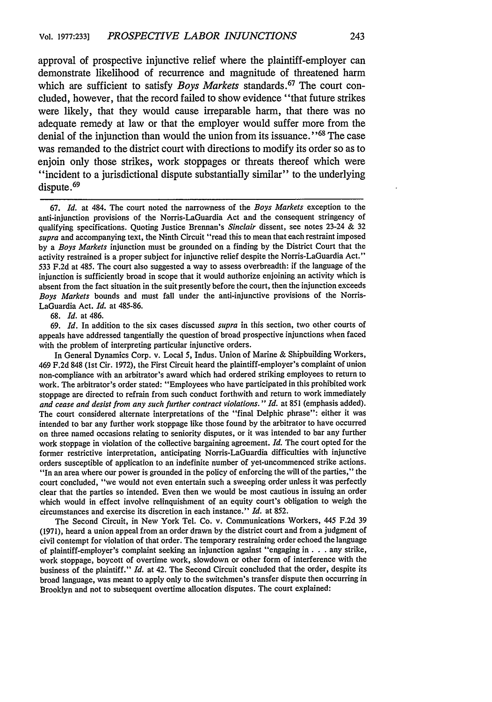approval of prospective injunctive relief where the plaintiff-employer can demonstrate likelihood of recurrence and magnitude of threatened harm which are sufficient to satisfy *Boys Markets* standards.<sup>67</sup> The court concluded, however, that the record failed to show evidence "that future strikes were likely, that they would cause irreparable harm, that there was no adequate remedy at law or that the employer would suffer more from the denial of the injunction than would the union from its issuance.<sup>''68</sup> The case was remanded to the district court with directions to modify its order so as to enjoin only those strikes, work stoppages or threats thereof which were "incident to a jurisdictional dispute substantially similar" to the underlying dispute.<sup>69</sup>

67. *Id.* at 484. The court noted the narrowness of the *Boys Markets* exception to the anti-injunction provisions of the Norris-LaGuardia Act and the consequent stringency of qualifying specifications. Quoting Justice Brennan's *Sinclair* dissent, see notes 23-24 & 32 *supra* and accompanying text, the Ninth Circuit "read this to mean that each restraint imposed by a *Boys Markets* injunction must be grounded on a finding by the District Court that the activity restrained is a proper subject for injunctive relief despite the Norris-LaGuardia Act." 533 F.2d at 485. The court also suggested a way to assess overbreadth: if the language of the injunction is sufficiently broad in scope that it would authorize enjoining an activity which is absent from the fact situation in the suit presently before the court, then the injunction exceeds *Boys Markets* bounds and must fall under the anti-injunctive provisions of the Norris-LaGuardia Act. *Id.* at 485-86.

68. *Id.* at 486.

69. *Id.* In addition to the six cases discussed *supra* in this section, two other courts of appeals have addressed tangentially the question of broad prospective injunctions when faced with the problem of interpreting particular injunctive orders.

In General Dynamics Corp. v. Local 5, Indus. Union of Marine & Shipbuilding Workers, 469 F.2d 848 (Ist Cir. 1972), the First Circuit heard the plaintiff-employer's complaint of union non-compliance with an arbitrator's award which had ordered striking employees to return to work. The arbitrator's order stated: "Employees who have participated in this prohibited work stoppage are directed to refrain from such conduct forthwith and return to work immediately *and cease and desist from any such further contract violations.* " *Id.* at 851 (emphasis added). The court considered alternate interpretations of the "final Delphic phrase": either it was intended to bar any further work stoppage like those found by the arbitrator to have occurred on three named occasions relating to seniority disputes, or it was intended to bar any further work stoppage in violation of the collective bargaining agreement. *Id.* The court opted for the former restrictive interpretation, anticipating Norris-LaGuardia difficulties with injunctive orders susceptible of application to an indefinite number of yet-uncommenced strike actions. "In an area where our power is grounded in the policy of enforcing the will of the parties," the court concluded, "we would not even entertain such a sweeping order unless it was perfectly clear that the parties so intended. Even then we would be most cautious in issuing an order which would in effect involve relinquishment of an equity court's obligation to weigh the circumstances and exercise its discretion in each instance." *Id.* at 852.

The Second Circuit, in New York Tel. Co. v. Communications Workers, 445 F.2d 39 (1971), heard a union appeal from an order drawn by the district court and from a judgment of civil contempt for violation of that order. The temporary restraining order echoed the language of plaintiff-employer's complaint seeking an injunction against "engaging in **. .** .any strike, work stoppage, boycott of overtime work, slowdown or other form of interference with the business of the plaintiff." *Id.* at 42. The Second Circuit concluded that the order, despite its broad language, was meant to apply only to the switchmen's transfer dispute then occurring in Brooklyn and not to subsequent overtime allocation disputes. The court explained: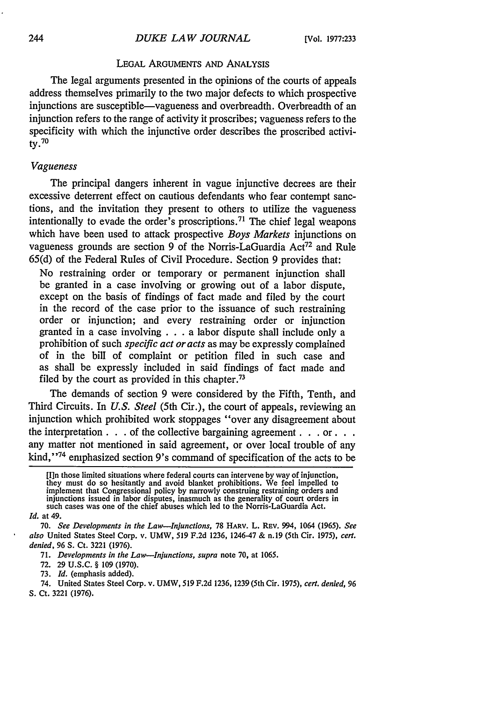#### LEGAL ARGUMENTS **AND** ANALYSIS

The legal arguments presented in the opinions of the courts of appeals address themselves primarily to the two major defects to which prospective injunctions are susceptible—vagueness and overbreadth. Overbreadth of an injunction refers to the range of activity it proscribes; vagueness refers to the specificity with which the injunctive order describes the proscribed activity. 70

### *Vagueness*

The principal dangers inherent in vague injunctive decrees are their excessive deterrent effect on cautious defendants who fear contempt sanctions, and the invitation they present to others to utilize the vagueness intentionally to evade the order's proscriptions. 71 The chief legal weapons which have been used to attack prospective *Boys Markets* injunctions on vagueness grounds are section 9 of the Norris-LaGuardia  $Act^{72}$  and Rule 65(d) of the Federal Rules of Civil Procedure. Section 9 provides that:

No restraining order or temporary or permanent injunction shall be granted in a case involving or growing out of a labor dispute, except on the basis of findings of fact made and filed by the court in the record of the case prior to the issuance of such restraining order or injunction; and every restraining order or injunction granted in a case involving  $\ldots$  a labor dispute shall include only a prohibition of such *specific act or acts* as may be expressly complained of in the bill of complaint or petition filed in such case and as shall be expressly included in said findings of fact made and filed by the court as provided in this chapter.<sup>73</sup>

The demands of section 9 were considered by the Fifth, Tenth, and Third Circuits. In *U.S. Steel* (5th Cir.), the court of appeals, reviewing an injunction which prohibited work stoppages "over any disagreement about the interpretation. **. .** of the collective bargaining agreement. **. . or...** any matter not mentioned in said agreement, or over local trouble of any kind,"'74 emphasized section 9's command of specification of the acts to be

[I]n those limited situations where federal courts can intervene by way of injunction, they must do so hesitantly and avoid blanket prohibitions. We feel impelled to implement that Congressional policy by narrowly construi injunctions issued in labor disputes, inasmuch as the generality of court orders in such cases was one of the chief abuses which led to the Norris-LaGuardia Act.

70. *See Developments in the Law-Injunctions,* **78** HARV. L. REV. 994, 1064 **(1965).** *See also* United States Steel Corp. v. UMW, *519* F.2d 1236, 1246-47 & n.19 (5th Cir. 1975), *cert. denied, 96* **S.** Ct. 3221 (1976).

71. *Developments in the Law-Injunctions, supra* note 70, at 1065.

**72.** 29 **U.S.C.** § 109 (1970).

73. *Id.* (emphasis added).

74. United States Steel Corp. v. UMW, 519 F.2d 1236, 1239(5th Cir. 1975), *cert. denied,* 96 S. Ct. 3221 (1976).

*Id.* at 49.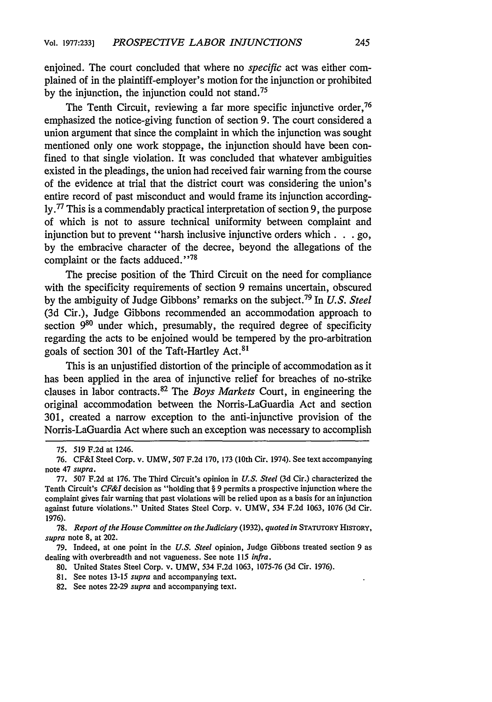enjoined. The court concluded that where no *specific* act was either complained of in the plaintiff-employer's motion for the injunction or prohibited by the injunction, the injunction could not stand.<sup>75</sup>

The Tenth Circuit, reviewing a far more specific injunctive order,<sup>76</sup> emphasized the notice-giving function of section 9. The court considered a union argument that since the complaint in which the injunction was sought mentioned only one work stoppage, the injunction should have been confined to that single violation. It was concluded that whatever ambiguities existed in the pleadings, the union had received fair warning from the course of the evidence at trial that the district court was considering the union's entire record of past misconduct and would frame its injunction accordingly. 77 This is a commendably practical interpretation of section 9, the purpose of which is not to assure technical uniformity between complaint and injunction but to prevent "harsh inclusive injunctive orders which. **. .** go, by the embracive character of the decree, beyond the allegations of the complaint or the facts adduced."<sup>78</sup>

The precise position of the Third Circuit on the need for compliance with the specificity requirements of section 9 remains uncertain, obscured by the ambiguity of Judge Gibbons' remarks on the subject.79 In *U.S. Steel* (3d Cir.), Judge Gibbons recommended an accommodation approach to section  $9^{80}$  under which, presumably, the required degree of specificity regarding the acts to be enjoined would be tempered by the pro-arbitration goals of section 301 of the Taft-Hartley Act.<sup>81</sup>

This is an unjustified distortion of the principle of accommodation as it has been applied in the area of injunctive relief for breaches of no-strike clauses in labor contracts. 82 The *Boys Markets* Court, in engineering the original accommodation between the Norris-LaGuardia Act and section 301, created a narrow exception to the anti-injunctive provision of the Norris-LaGuardia Act where such an exception was necessary to accomplish

**78.** *Report of the House Committee on the Judiciary* (1932), *quoted in* STATUTORY HISTORY, *supra* note 8, at 202.

79. Indeed, at one point in the *U.S. Steel* opinion, Judge Gibbons treated section 9 as dealing with overbreadth and not vagueness. See note 115 *infra.*

80. United States Steel Corp. v. UMW, 534 F.2d 1063, 1075-76 (3d Cir. 1976).

- 81. See notes 13-15 *supra* and accompanying text.
- 82. See notes 22-29 *supra* and accompanying text.

<sup>75. 519</sup> F.2d at 1246.

<sup>76.</sup> CF&I Steel Corp. v. UMW, 507 F.2d 170, 173 (10th Cir. 1974). See text accompanying note 47 *supra.*

<sup>77. 507</sup> F.2d at 176. The Third Circuit's opinion in *U.S. Steel* (3d Cir.) characterized the Tenth Circuit's *CF&I* decision as "holding that § 9 permits a prospective injunction where the complaint gives fair warning that past violations will be relied upon as a basis for an injunction against future violations." United States Steel Corp. v. UMW, 534 F.2d 1063, 1076 (3d Cir. 1976).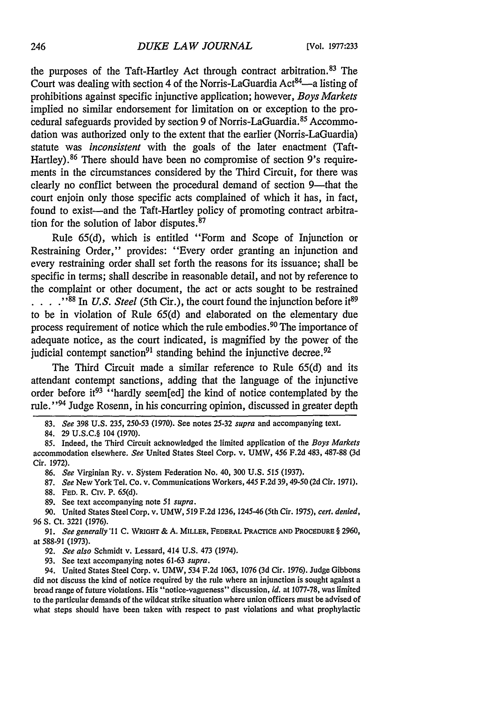the purposes of the Taft-Hartley Act through contract arbitration. 83 The Court was dealing with section 4 of the Norris-LaGuardia Act<sup>84</sup>—a listing of prohibitions against specific injunctive application; however, *Boys Markets* implied no similar endorsement for limitation on or exception to the procedural safeguards provided by section 9 of Norris-LaGuardia.<sup>85</sup> Accommodation was authorized only to the extent that the earlier (Norris-LaGuardia) statute was *inconsistent* with the goals of the later enactment (Taft-Hartley).<sup>86</sup> There should have been no compromise of section 9's requirements in the circumstances considered by the Third Circuit, for there was clearly no conflict between the procedural demand of section 9-that the court enjoin only those specific acts complained of which it has, in fact, found to exist-and the Taft-Hartley policy of promoting contract arbitration for the solution of labor disputes.<sup>87</sup>

Rule 65(d), which is entitled "Form and Scope of Injunction or Restraining Order," provides: "Every order granting an injunction and every restraining order shall set forth the reasons for its issuance; shall be specific in terms; shall describe in reasonable detail, and not by reference to the complaint or other document, the act or acts sought to be restrained <sup>1988</sup> In *U.S. Steel* (5th Cir.), the court found the injunction before it<sup>89</sup> to be in violation of Rule 65(d) and elaborated on the elementary due process requirement of notice which the rule embodies.90 The importance of adequate notice, as the court indicated, is magnified by the power of the judicial contempt sanction<sup>91</sup> standing behind the injunctive decree.<sup>92</sup>

The Third Circuit made a similar reference to Rule 65(d) and its attendant contempt sanctions, adding that the language of the injunctive order before it93 "hardly seem[ed] the kind of notice contemplated by the rule." 94 Judge Rosenn, in his concurring opinion, discussed in greater depth

86. *See Virginian Ry. v. System Federation No.* 40, 300 U.S. 515 (1937).

87. *See* New York Tel. Co. v. Communications Workers, 445 F.2d 39,49-50 (2d Cir. 1971).

**88.** FED. R. Civ. P. 65(d).

**89.** See text accompanying note 51 *supra.*

90. United States Steel Corp. v. UMW, 519 F.2d 1236, 1245-46 (5th Cir. 1975), *cert. denied,* 96 **S.** Ct. 3221 (1976).

**91.** *See generally* 11 **C.** WRGrrr & **A.** MILLER, FEDERAL PRACTICE AND PROCEDURE § 2960, at 588-91 (1973).

92. *See also* Schmidt v. Lessard, 414 U.S. 473 (1974).

93. See text accompanying notes 61-63 *supra.*

94. United States Steel Corp. v. UMW, 534 F.2d 1063, 1076 (3d Cir. 1976). Judge Gibbons did not discuss the kind of notice required by the rule where an injunction is sought against a broad range of future violations. His "notice-vagueness" discussion, *id.* at 1077-78, was limited to the particular demands of the wildcat strike situation where union officers must be advised of what steps should have been taken with respect to past violations and what prophylactic

<sup>83.</sup> *See* 398 U.S. 235, 250-53 (1970). See notes 25-32 *supra* and accompanying text.

<sup>84. 29</sup> U.S.C.§ 104 (1970).

<sup>85.</sup> Indeed, the Third Circuit acknowledged the limited application of the *Boys Markets* accommodation elsewhere. *See* United States Steel Corp. v. UMW, 456 F.2d 483, 487-88 (3d Cir. 1972).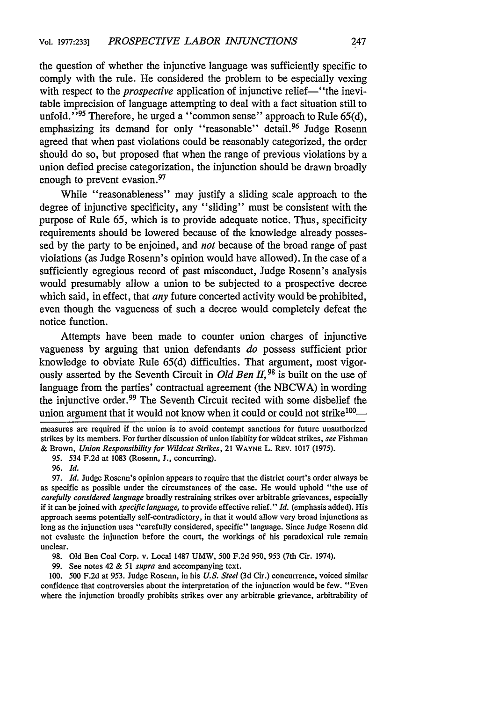```
the question of whether the injunctive language was sufficiently specific to
comply with the rule. He considered the problem to be especially vexing
with respect to the prospective application of injunctive relief—"the inevi-
table imprecision of language attempting to deal with a fact situation still to
unfold."<sup>95</sup> Therefore, he urged a "common sense" approach to Rule 65(d),
emphasizing its demand for only "reasonable" detail.<sup>96</sup> Judge Rosenn
agreed that when past violations could be reasonably categorized, the order
should do so, but proposed that when the range of previous violations by a
union defied precise categorization, the injunction should be drawn broadly
enough to prevent evasion.<sup>97</sup>
```
While "reasonableness" may justify a sliding scale approach to the degree of injunctive specificity, any "sliding" must be consistent with the purpose of Rule 65, which is to provide adequate notice. Thus, specificity requirements should be lowered because of the knowledge already possessed by the party to be enjoined, and *not* because of the broad range of past violations (as Judge Rosenn's opinion would have allowed). In the case of a sufficiently egregious record of past misconduct, Judge Rosenn's analysis would presumably allow a union to be subjected to a prospective decree which said, in effect, that *any* future concerted activity would be prohibited, even though the vagueness of such a decree would completely defeat the notice function.

Attempts have been made to counter union charges of injunctive vagueness by arguing that union defendants *do* possess sufficient prior knowledge to obviate Rule 65(d) difficulties. That argument, most vigor-<br>ously asserted by the Seventh Circuit in *Old Ben II*,<sup>98</sup> is built on the use of language from the parties' contractual agreement (the NBCWA) in wording the injunctive order.<sup>99</sup> The Seventh Circuit recited with some disbelief the union argument that it would not know when it could or could not strike<sup>100</sup>-

97. *Id.* Judge Rosenn's opinion appears to require that the district court's order always be as specific as possible under the circumstances of the case. He would uphold "the use of *carefully considered language* broadly restraining strikes over arbitrable grievances, especially if it can be joined with *specific language,* to provide effective relief." *Id.* (emphasis added). His approach seems potentially self-contradictory, in that it would allow very broad injunctions as long as the injunction uses "carefully considered, specific" language. Since Judge Rosenn did not evaluate the injunction before the court, the workings of his paradoxical rule remain unclear.

98. Old Ben Coal Corp. v. Local 1487 UMW, 500 F.2d 950, 953 (7th Cir. 1974).

99. See notes 42 & 51 *supra* and accompanying text.

100. 500 F.2d at 953. Judge Rosenn, in his *U.S. Steel* (3d Cir.) concurrence, voiced similar confidence that controversies about the interpretation of the injunction would be few. "Even where the injunction broadly prohibits strikes over any arbitrable grievance, arbitrability of

measures are required if the union is to avoid contempt sanctions for future unauthorized strikes by its members. For further discussion of union liability for wildcat strikes, see Fishman & Brown, *Union Responsibility for Wildcat Strikes,* 21 WAYNE L. REV. 1017 (1975).

<sup>95. 534</sup> F.2d at 1083 (Rosenn, J., concurring).

<sup>96.</sup> *Id.*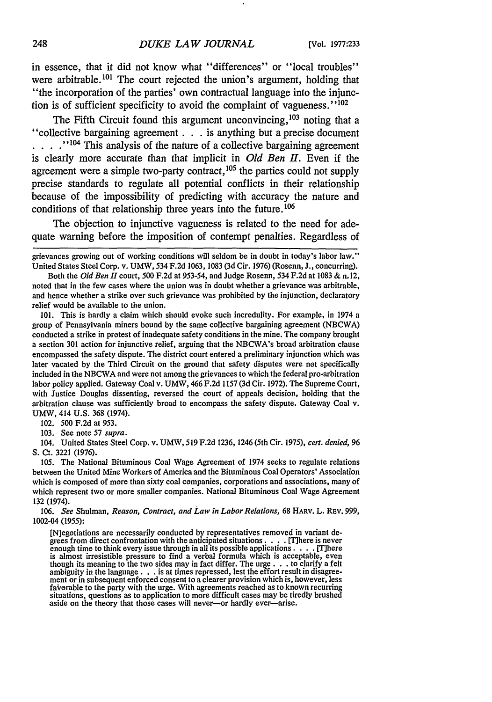in essence, that it did not know what "differences" or "local troubles" were arbitrable.<sup>101</sup> The court rejected the union's argument, holding that "the incorporation of the parties' own contractual language into the injunction is of sufficient specificity to avoid the complaint of vagueness." $102$ 

The Fifth Circuit found this argument unconvincing,  $103$  noting that a "collective bargaining agreement. **. .** is anything but a precise document ... <sup>104</sup> This analysis of the nature of a collective bargaining agreement is clearly more accurate than that implicit in *Old Ben ff.* Even if the agreement were a simple two-party contract,  $105$  the parties could not supply precise standards to regulate all potential conflicts in their relationship because of the impossibility of predicting with accuracy the nature and conditions of that relationship three years into the future.<sup>106</sup>

The objection to injunctive vagueness is related to the need for adequate warning before the imposition of contempt penalties. Regardless of

101. This is hardly a claim which should evoke such incredulity. For example, in 1974 a group of Pennsylvania miners bound by the same collective bargaining agreement (NBCWA) conducted a strike in protest of inadequate safety conditions in the mine. The company brought a section 301 action for injunctive relief, arguing that the NBCWA's broad arbitration clause encompassed the safety dispute. The district court entered a preliminary injunction which was later vacated by the Third Circuit on the ground that safety disputes were not specifically included in the NBCWA and were not among the grievances to which the federal pro-arbitration labor policy applied. Gateway Coal v. UMW, 466 F.2d 1157 (3d Cir. 1972). The Supreme Court, with Justice Douglas dissenting, reversed the court of appeals decision, holding that the arbitration clause was sufficiently broad to encompass the safety dispute. Gateway Coal v. UMW, 414 U.S. 368 (1974).

102. 500 F.2d at 953.

103. See note 57 *supra.*

104. United States Steel Corp. v. UMW, 519 F.2d 1236, 1246(5th Cir. 1975), *cert. denied,* 96 S. Ct. 3221 (1976).

105. The National Bituminous Coal Wage Agreement of 1974 seeks to regulate relations between the United Mine Workers of America and the Bituminous Coal Operators' Association which is composed of more than sixty coal companies, corporations and associations, many of which represent two or more smaller companies. National Bituminous Coal Wage Agreement 132 (1974).

106. *See* Shulman, *Reason, Contract, and Law in Labor Relations,* 68 HARV. L. REv. 999, 1002-04 (1955):

[N]egotiations are necessarily conducted by representatives removed in variant degrees from direct confrontation with the anticipated situations. . . . . [T]here is never<br>enough time to think every issue through in all its possible applications. . . . . [T]here is almost irresistible pressure to find a verbal formula which is acceptable, even<br>though its meaning to the two sides may in fact differ. The urge  $\dots$  to clarify a felt<br>ambiguity in the language  $\dots$  is at times repress ment or in subsequent enforced consent to a clearer provision which is, however, less faiorable to the party with the urge. With agreements reached as to known recurring situations, questions as to application to more difficult cases may be tiredly brushed aside on the theory that those cases will never-or hardly ever-arise.

grievances growing out of working conditions will seldom be in doubt in today's labor law." United States Steel Corp. v. UMW, 534 F.2d 1063, 1083 (3d Cir. 1976) (Rosenn, J., concurring).

Both the *Old Ben II* court, 500 F.2d at 953-54, and Judge Rosenn, 534 F.2d at 1083 & n. 12, noted that in the few cases where the union was in doubt whether a grievance was arbitrable, and hence whether a strike over such grievance was prohibited by the injunction, declaratory relief would be available to the union.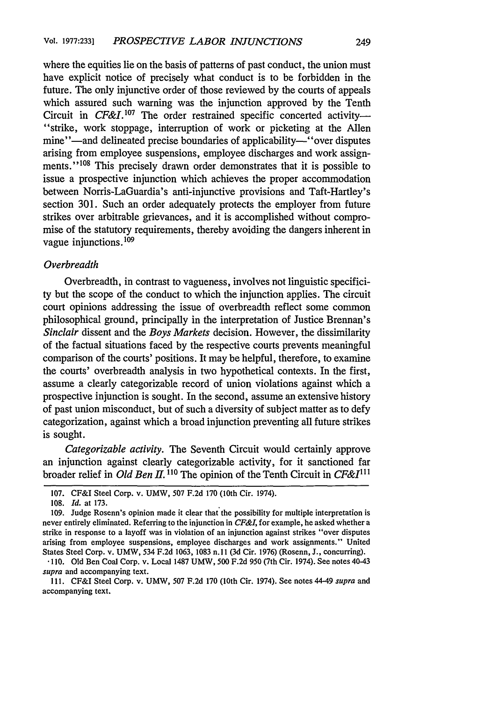where the equities lie on the basis of patterns of past conduct, the union must have explicit notice of precisely what conduct is to be forbidden in the future. The only injunctive order of those reviewed by the courts of appeals which assured such warning was the injunction approved by the Tenth Circuit in *CF&I*.<sup>107</sup> The order restrained specific concerted activity--<br>"strike, work stoppage, interruption of work or picketing at the Allen mine"—and delineated precise boundaries of applicability—"over disputes arising from employee suspensions, employee discharges and work assignments."<sup>108</sup> This precisely drawn order demonstrates that it is possible to issue a prospective injunction which achieves the proper accommodation between Norris-LaGuardia's anti-injunctive provisions and Taft-Hartley's section 301. Such an order adequately protects the employer from future strikes over arbitrable grievances, and it is accomplished without compromise of the statutory requirements, thereby avoiding the dangers inherent in vague injunctions.  $^{109}$ 

#### *Overbreadth*

Overbreadth, in contrast to vagueness, involves not linguistic specificity but the scope of the conduct to which the injunction applies. The circuit court opinions addressing the issue of overbreadth reflect some common philosophical ground, principally in the interpretation of Justice Brennan's *Sinclair* dissent and the *Boys Markets* decision. However, the dissimilarity of the factual situations faced by the respective courts prevents meaningful comparison of the courts' positions. It may be helpful, therefore, to examine the courts' overbreadth analysis in two hypothetical contexts. In the first, assume a clearly categorizable record of union violations against which a prospective injunction is sought. In the second, assume an extensive history of past union misconduct, but of such a diversity of subject matter as to defy categorization, against which a broad injunction preventing all future strikes is sought.

*Categorizable activity.* The Seventh Circuit would certainly approve an injunction against clearly categorizable activity, for it sanctioned far broader relief in *Old Ben II*.<sup>110</sup> The opinion of the Tenth Circuit in *CF&I*<sup>111</sup>

111. CF&I Steel Corp. v. UMW, 507 F.2d 170 (10th Cir. 1974). See notes 44-49 *supra* and accompanying text.

<sup>107.</sup> CF&I Steel Corp. v. UMW, 507 F.2d 170 (10th Cir. 1974).

<sup>108.</sup> *Id.* at 173.

<sup>109.</sup> Judge Rosenn's opinion made it clear that the possibility for multiple interpretation is never entirely eliminated. Referring to the injunction in *CF&I,* for example, he asked whether a strike in response to a layoff was in violation of an injunction against strikes "over disputes arising from employee suspensions, employee discharges and work assignments." United States Steel Corp. v. UMW, 534 F.2d 1063, 1083 n.lI (3d Cir. 1976) (Rosenn, J., concurring).

<sup>-110.</sup> Old Ben Coal Corp. v. Local 1487 UMW, 500 F.2d 950 (7th Cir. 1974). See notes 40-43 *supra* and accompanying text.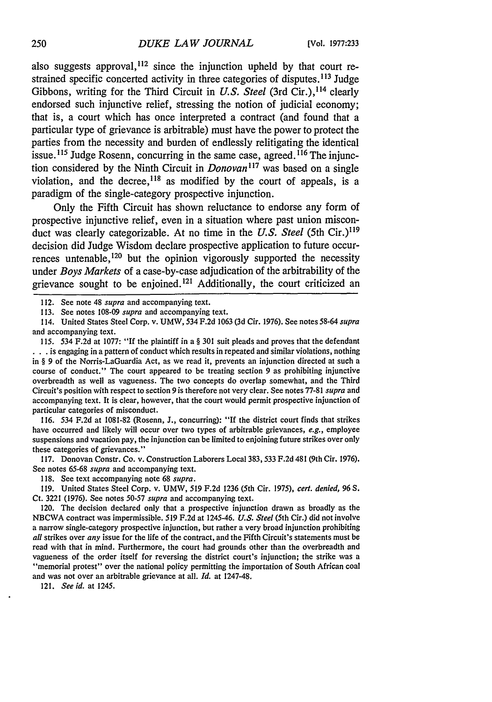also suggests approval,  $112$  since the injunction upheld by that court restrained specific concerted activity in three categories of disputes. **<sup>1</sup> <sup>13</sup>**Judge Gibbons, writing for the Third Circuit in *U.S. Steel* (3rd Cir.), 114 clearly endorsed such injunctive relief, stressing the notion of judicial economy; that is, a court which has once interpreted a contract (and found that a particular type of grievance is arbitrable) must have the power to protect the parties from the necessity and burden of endlessly relitigating the identical issue. 115 Judge Rosenn, concurring in the same case, agreed. **116** The injunction considered **by** the Ninth Circuit in *Donovan117* was based on a single violation, and the decree,  $118$  as modified by the court of appeals, is a paradigm of the single-category prospective injunction.

Only the Fifth Circuit has shown reluctance to endorse any form of prospective injunctive relief, even in a situation where past union misconduct was clearly categorizable. At no time in the *U.S. Steel* (5th Cir.)<sup>119</sup> decision did Judge Wisdom declare prospective application to future occurrences untenable,120 but the opinion vigorously supported the necessity under *Boys Markets* of a case-by-case adjudication of the arbitrability of the grievance sought to be enjoined. 121 Additionally, the court criticized an

112. See note 48 *supra* and accompanying text.

113. See notes 108-09 *supra* and accompanying text.

114. United States Steel Corp. v. UMW, 534 F.2d 1063 (3d Cir. 1976). See notes 58-64 *supra* and accompanying text.

115. 534 F.2d at 1077: "If the plaintiff in a § 301 suit pleads and proves that the defendant **• . .** is engaging in a pattern of conduct which results in repeated and similar violations, nothing in § 9 of the Norris-LaGuardia Act, as we read it, prevents an injunction directed at such a course of conduct." The court appeared to be treating section 9 as prohibiting injunctive overbreadth as well as vagueness. The two concepts do overlap somewhat, and the Third Circuit's position with respect to section 9 is therefore not very clear. See notes 77-81 *supra* and accompanying text. It is clear, however, that the court would permit prospective injunction of particular categories of misconduct.

116. 534 F.2d at 1081-82 (Rosenn, J., concurring): "If the district court finds that strikes have occurred and likely will occur over two types of arbitrable grievances, *e.g.,* employee suspensions and vacation pay, the injunction can be limited to enjoining future strikes over only these categories of grievances."

117. Donovan Constr. Co. v. Construction Laborers Local 383,533 F.2d 481 (9th Cir. 1976). See notes 65-68 *supra* and accompanying text.

118. See text accompanying note 68 *supra.*

119. United States Steel Corp. v. UMW, 519 F.2d 1236 (5th Cir. 1975), *cert. denied,* 96 **S.** Ct. 3221 (1976). See notes 50-57 *supra* and accompanying text.

120. The decision declared only that a prospective injunction drawn as broadly as the NBCWA contract was impermissible. 519 F.2d at 1245-46. *U.S. Steel* (5th Cir.) did not involve a narrow single-category prospective injunction, but rather a very broad injunction prohibiting *all* strikes over *any* issue for the life of the contract, and the Fifth Circuit's statements must be read with that in mind. Furthermore, the court had grounds other than the overbreadth and vagueness of the order itself for reversing the district court's injunction; the strike was a "memorial protest" over the national policy permitting the importation of South African coal and was not over an arbitrable grievance at all. *Id.* at 1247-48.

121. *See id.* at 1245.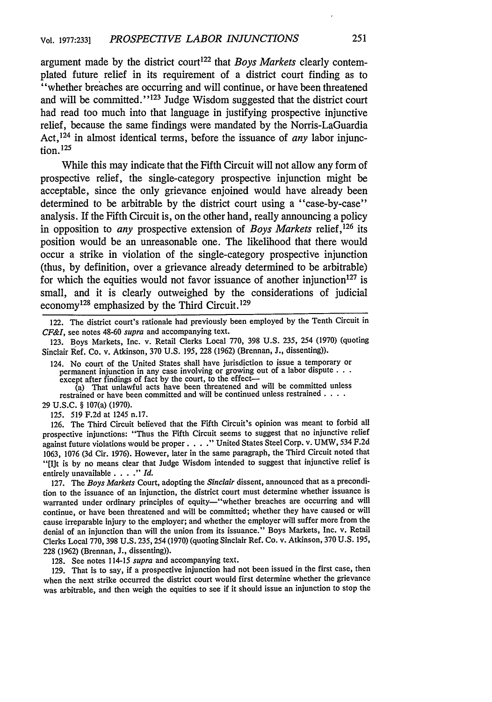argument made by the district court<sup>122</sup> that *Boys Markets* clearly contemplated future relief in its requirement of a district court finding as to "whether breaches are occurring and will continue, or have been threatened and will be committed." $1^{23}$  Judge Wisdom suggested that the district court had read too much into that language in justifying prospective injunctive relief, because the same findings were mandated by the Norris-LaGuardia Act, 124 in almost identical terms, before the issuance of *any* labor injunc $tion.<sup>125</sup>$ 

While this may indicate that the Fifth Circuit will not allow any form of prospective relief, the single-category prospective injunction might be acceptable, since the only grievance enjoined would have already been determined to be arbitrable by the district court using a "case-by-case" analysis. If the Fifth Circuit is, on the other hand, really announcing a policy in opposition to *any* prospective extension of *Boys Markets* relief, 126 its position would be an unreasonable one. The likelihood that there would occur a strike in violation of the single-category prospective injunction (thus, by definition, over a grievance already determined to be arbitrable) for which the equities would not favor issuance of another injunction $127$  is small, and it is clearly outweighed by the considerations of judicial economy128 emphasized by the Third Circuit. <sup>129</sup>

122. The district court's rationale had previously been employed by the Tenth Circuit in *CF&I,* see notes 48-60 *supra* and accompanying text.

123. Boys Markets, Inc. v. Retail Clerks Local 770, 398 U.S. 235, 254 (1970) (quoting Sinclair Ref. Co. v. Atkinson, 370 U.S. 195, 228 (1962) (Brennan, J., dissenting)).

124. No court of the United States shall have jurisdiction to issue a temporary or permanent injunction in any case involving or growing out of a labor dispute... except after findings of fact by the court, to the effect-

(a) That unlawful acts have been threatened and will be committed unless restrained or have been committed and will be continued unless restrained **....**

29 U.S.C. § 107(a) (1970).

125. 519 F.2d at 1245 n.17.

126. The Third Circuit believed that the Fifth Circuit's opinion was meant to forbid all prospective injunctions: "Thus the Fifth Circuit seems to suggest that no injunctive relief against future violations would be proper . . . . " United States Steel Corp. v. UMW, 534 F.2d 1063, 1076 (3d Cir. 1976). However, later in the same paragraph, the Third Circuit noted that "[lit is by no means clear that Judge Wisdom intended to suggest that injunctive relief is entirely unavailable . **. . ."** *Id.*

127. The *Boys Markets* Court, adopting the *Sinclair* dissent, announced that as a precondition to the issuance of an injunction, the district court must determine whether issuance is warranted under ordinary principles of equity-"whether breaches are occurring and will continue, or have been threatened and will be committed; whether they have caused or will cause irreparable injury to the employer; and whether the employer will suffer more from the denial of an injunction than will the union from its issuance." Boys Markets, Inc. v. Retail Clerks Local 770, 398 U.S. 235,254(1970) (quoting Sinclair Ref. Co. v. Atkinson, 370 U.S. 195, 228 (1962) (Brennan, J., dissenting)).

128. See notes 114-15 *supra* and accompanying text.

129. That is to say, if a prospective injunction had not been issued in the first case, then when the next strike occurred the district court would first determine whether the grievance was arbitrable, and then weigh the equities to see if it should issue an injunction to stop the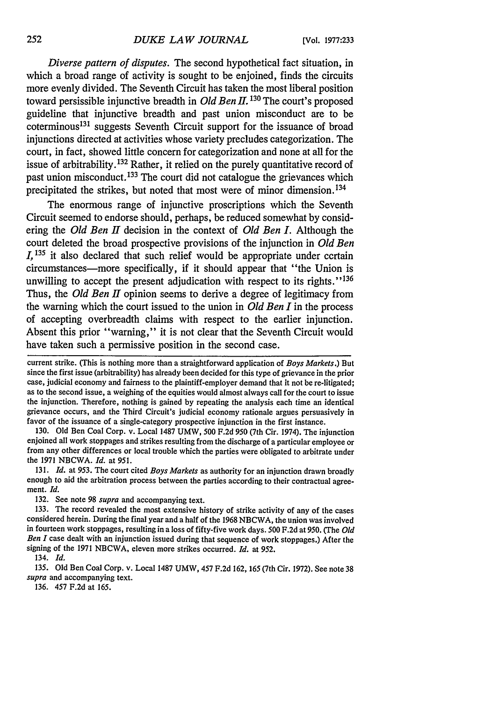*Diverse pattern of disputes.* The second hypothetical fact situation, in which a broad range of activity is sought to be enjoined, finds the circuits more evenly divided. The Seventh Circuit has taken the most liberal position toward persissible injunctive breadth in *Old Ben f. 130* The court's proposed guideline that injunctive breadth and past union misconduct are to be  $coterminous<sup>131</sup>$  suggests Seventh Circuit support for the issuance of broad injunctions directed at activities whose variety precludes categorization. The court, in fact, showed little concern for categorization and none at all for the issue of arbitrability.<sup>132</sup> Rather, it relied on the purely quantitative record of past union misconduct. 133 The court did not catalogue the grievances which precipitated the strikes, but noted that most were of minor dimension.<sup>134</sup>

The enormous range of injunctive proscriptions which the Seventh Circuit seemed to endorse should, perhaps, be reduced somewhat by considering the *Old Ben 1* decision in the context of *Old Ben I.* Although the court deleted the broad prospective provisions of the injunction in *Old Ben*  $I<sub>1</sub><sup>135</sup>$  it also declared that such relief would be appropriate under ccrtain circumstances-more specifically, if it should appear that "the Union is unwilling to accept the present adjudication with respect to its rights."<sup>136</sup> Thus, the *Old Ben II* opinion seems to derive a degree of legitimacy from the warning which the court issued to the union in *Old Ben I* in the process of accepting overbreadth claims with respect to the earlier injunction. Absent this prior "warning," it is not clear that the Seventh Circuit would have taken such a permissive position in the second case.

130. Old Ben Coal Corp. v. Local 1487 UMW, 500 F.2d 950 (7th Cir. 1974). The injunction enjoined all work stoppages and strikes resulting from the discharge of a particular employee or from any other differences or local trouble which the parties were obligated to arbitrate under the 1971 NBCWA. *Id.* at 951.

131. *Id.* at 953. The court cited *Boys Markets* as authority for an injunction drawn broadly enough to aid the arbitration process between the parties according to their contractual agreement. *Id.*

132. See note 98 *supra* and accompanying text.

133. The record revealed the most extensive history of strike activity of any of the cases considered herein. During the final year and a half of the 1968 NBCWA, the union was involved in fourteen work stoppages, resulting in a loss of fifty-five work days. 500 F.2d at 950. (The *Old Ben I* case dealt with an injunction issued during that sequence of work stoppages.) After the signing of the 1971 NBCWA, eleven more strikes occurred. *Id.* at 952.

134. *Id.*

135. Old Ben Coal Corp. v. Local 1487 UMW, 457 F.2d 162, 165 (7th Cir. 1972). See note 38 *supra* and accompanying text.

136. 457 F.2d at 165.

current strike. (This is nothing more than a straightforward application of *Boys Markets.)* But since the first issue (arbitrability) has already been decided for this type of grievance in the prior case, judicial economy and fairness to the plaintiff-employer demand that it not be re-litigated; as to the second issue, a weighing of the equities would almost always call for the court to issue the injunction. Therefore, nothing is gained by repeating the analysis each time an identical grievance occurs, and the Third Circuit's judicial economy rationale argues persuasively in favor of the issuance of a single-category prospective injunction in the first instance.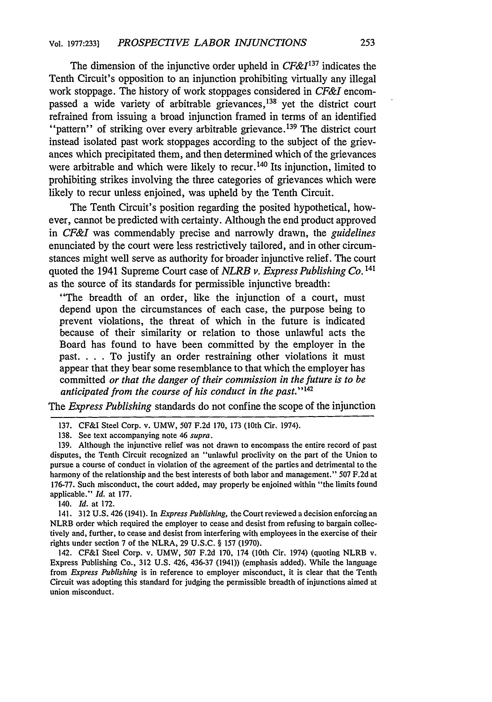The dimension of the injunctive order upheld in *CF&I137* indicates the Tenth Circuit's opposition to an injunction prohibiting virtually any illegal work stoppage. The history of work stoppages considered in *CF&I* encompassed a wide variety of arbitrable grievances,<sup>138</sup> yet the district court refrained from issuing a broad injunction framed in terms of an identified "pattern" of striking over every arbitrable grievance.<sup>139</sup> The district court instead isolated past work stoppages according to the subject of the grievances which precipitated them, and then determined which of the grievances were arbitrable and which were likely to recur.<sup>140</sup> Its injunction, limited to prohibiting strikes involving the three categories of grievances which were likely to recur unless enjoined, was upheld by the Tenth Circuit.

The Tenth Circuit's position regarding the posited hypothetical, however, cannot be predicted with certainty. Although the end product approved in *CF&I* was commendably precise and narrowly drawn, the *guidelines* enunciated by the court were less restrictively tailored, and in other circumstances might well serve as authority for broader injunctive relief. The court quoted the 1941 Supreme Court case of *NLRB v. Express Publishing Co.* <sup>141</sup> as the source of its standards for permissible injunctive breadth:

"The breadth of an order, like the injunction of a court, must depend upon the circumstances of each case, the purpose being to prevent violations, the threat of which in the future is indicated because of their similarity or relation to those unlawful acts the Board has found to have been committed by the employer in the past. . **.** .To justify an order restraining other violations it must appear that they bear some resemblance to that which the employer has committed *or that the danger of their commission in the future is to be* anticipated from the course of his conduct in the past."<sup>142</sup>

The *Express Publishing* standards do not confine the scope of the injunction

140. *Id.* at 172.

141. 312 U.S. 426 (1941). In *Express Publishing,* the Court reviewed a decision enforcing an NLRB order which required the employer to cease and desist from refusing to bargain collectively and, further, to cease and desist from interfering with employees in the exercise of their rights under section 7 of the NLRA, 29 U.S.C. § 157 (1970).

142. CF&I Steel Corp. v. UMW, 507 F.2d 170, 174 (10th Cir. 1974) (quoting NLRB v. Express Publishing Co., 312 U.S. 426, 436-37 (1941)) (emphasis added). While the language from *Express Publishing* is in reference to employer misconduct, it is clear that the Tenth Circuit was adopting this standard for judging the permissible breadth of injunctions aimed at union misconduct.

<sup>137.</sup> CF&I Steel Corp. v. UMW, 507 F.2d 170, 173 (10th Cir. 1974).

<sup>138.</sup> See text accompanying note 46 *supra.*

<sup>139.</sup> Although the injunctive relief was not drawn to encompass the entire record of past disputes, the Tenth Circuit recognized an "unlawful proclivity on the part of the Union to pursue a course of conduct in violation of the agreement of the parties and detrimental to the harmony of the relationship and the best interests of both labor and management." 507 F.2d at 176-77. Such misconduct, the court added, may properly be enjoined within "the limits found applicable." *Id.* at 177.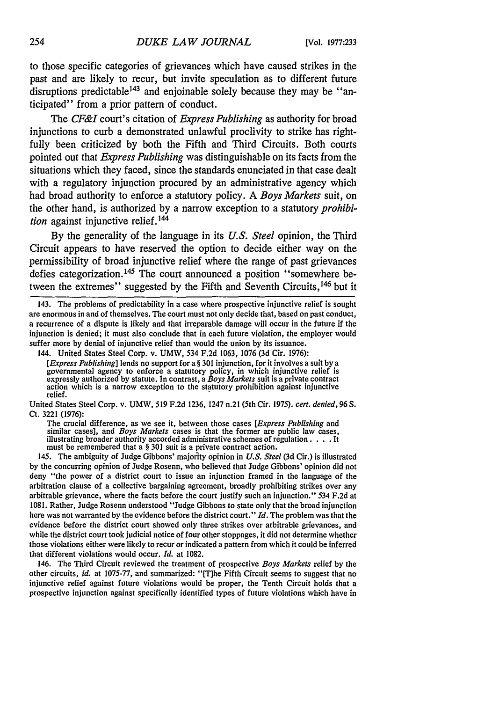to those specific categories of grievances which have caused strikes in the past and are likely to recur, but invite speculation as to different future disruptions predictable<sup>143</sup> and enjoinable solely because they may be "anticipated" from a prior pattern of conduct.

The *CF&I* court's citation of *Express Publishing* as authority for broad injunctions to curb a demonstrated unlawful proclivity to strike has rightfully been criticized by both the Fifth and Third Circuits. Both courts pointed out that *Express Publishing* was distinguishable on its facts from the situations which they faced, since the standards enunciated in that case dealt with a regulatory injunction procured by an administrative agency which had broad authority to enforce a statutory policy. A *Boys Markets* suit, on the other hand, is authorized by a narrow exception to a statutory *prohibition* against injunctive relief. <sup>144</sup>

By the generality of the language in its *U.S. Steel* opinion, the Third Circuit appears to have reserved the option to decide either way on the permissibility of broad injunctive relief where the range of past grievances defies categorization.<sup>145</sup> The court announced a position "somewhere between the extremes" suggested by the Fifth and Seventh Circuits, 146 but it

United States Steel Corp. v. UMW, 519 F.2d 1236, 1247 n.21 (5th Cir. 1975). *cert. denied,* 96 S. Ct. 3221 (1976):

The crucial difference, as we see it, between those cases *[Express Publishing* and similar cases], and *Boys Markets* cases is that the former are public law cases, illustrating broader authority accorded administrative schemes of regulation. . **. .** It must be remembered that a § 301 suit is a private contract action.

145. The ambiguity of Judge Gibbons' majority opinion in *U.S. Steel* (3d Cir.) is illustrated by the concurring opinion of Judge Rosenn, who believed that Judge Gibbons' opinion did not deny "the power of a district court to issue an injunction framed in the language of the arbitration clause of a collective bargaining agreement, broadly prohibiting strikes over any arbitrable grievance, where the facts before the court justify such an injunction." 534 F.2d at 1081. Rather, Judge Rosenn understood "Judge Gibbons to state only that the broad injunction here was not warranted by the evidence before the district court." *Id.* The problem was that the evidence before the district court showed only three strikes over arbitrable grievances, and while the district court took judicial notice of four other stoppages, it did not determine whether those violations either were likely to recur or indicated a pattern from which it could be inferred that different violations would occur. *Id.* at 1082.

146. The Third Circuit reviewed the treatment of prospective *Boys Markets* relief by the other circuits, *id.* at 1075-77, and summarized: "[T]he Fifth Circuit seems to suggest that no injunctive relief against future violations would be proper, the Tenth Circuit holds that a prospective injunction against specifically identified types of future violations which have in

<sup>143.</sup> The problems of predictability in a case where prospective injunctive relief is sought are enormous in and of themselves. The court must not only decide that, based on past conduct, a recurrence of a dispute is likely and that irreparable damage will occur in the future if the injunction is denied; it must also conclude that in each future violation, the employer would suffer more by denial of injunctive relief than would the union by its issuance.

<sup>144.</sup> United States Steel Corp. v. UMW, 534 F.2d 1063, 1076 (3d Cir. 1976): *[Express Publishing)* lends no support for a § 301 injunction, for it involves a suit **by** <sup>a</sup> governmental agency to enforce a statutory policy, in which injunctive relief is expressly authorized by statute. In contrast, a *Boys Markets* suit is a private contract action which is a narrow exception to the statutory prohibition against injunctive relief.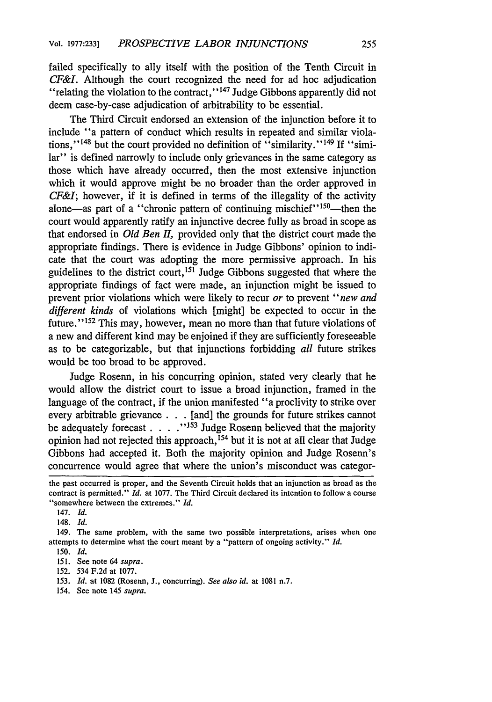failed specifically to ally itself with the position of the Tenth Circuit in *CF&I.* Although the court recognized the need for ad hoc adjudication "relating the violation to the contract,"<sup>147</sup> Judge Gibbons apparently did not deem case-by-case adjudication of arbitrability to be essential.

The Third Circuit endorsed an extension of the injunction before it to include "a pattern of conduct which results in repeated and similar violations,"<sup>148</sup> but the court provided no definition of  $\cdot \cdot$ similarity."<sup>149</sup> If "similar" is defined narrowly to include only grievances in the same category as those which have already occurred, then the most extensive injunction which it would approve might be no broader than the order approved in *CF&I;* however, if it is defined in terms of the illegality of the activity alone—as part of a "chronic pattern of continuing mischief"  $150$ —then the court would apparently ratify an injunctive decree fully as broad in scope as that endorsed in  $Old$  Ben  $H$ , provided only that the district court made the appropriate findings. There is evidence in Judge Gibbons' opinion to indicate that the court was adopting the more permissive approach. In his guidelines to the district court, 151 Judge Gibbons suggested that where the appropriate findings of fact were made, an injunction might be issued to prevent prior violations which were likely to recur *or* to prevent *"new and different kinds* of violations which [might] be expected to occur in the future."<sup>152</sup> This may, however, mean no more than that future violations of a new and different kind may be enjoined if they are sufficiently foreseeable as to be categorizable, but that injunctions forbidding *all* future strikes would be too broad to be approved.

Judge Rosenn, in his concurring opinion, stated very clearly that he would allow the district court to issue a broad injunction, framed in the language of the contract, if the union manifested "a proclivity to strike over every arbitrable grievance **. .** .[and] the grounds for future strikes cannot be adequately forecast . **. .** . **',1s3** Judge Rosenn believed that the majority opinion had not rejected this approach, 154 but it is not at all clear that Judge Gibbons had accepted it. Both the majority opinion and Judge Rosenn's concurrence would agree that where the union's misconduct was categor-

154. See note 145 *supra.*

the past occurred is proper, and the Seventh Circuit holds that an injunction as broad as the contract is permitted." *Id.* at 1077. The Third Circuit declared its intention to follow a course "somewhere between the extremes." *Id.*

<sup>147.</sup> *Id.*

<sup>148.</sup> *Id.*

<sup>149.</sup> The same problem, with the same two possible interpretations, arises when one attempts to determine what the court meant by a "pattern of ongoing activity." *Id.*

<sup>150.</sup> *Id.*

<sup>151.</sup> See note 64 *supra.*

<sup>152. 534</sup> F.2d at 1077.

<sup>153.</sup> *Id.* at 1082 (Rosenn, J., concurring). *See also id.* at 1081 n.7.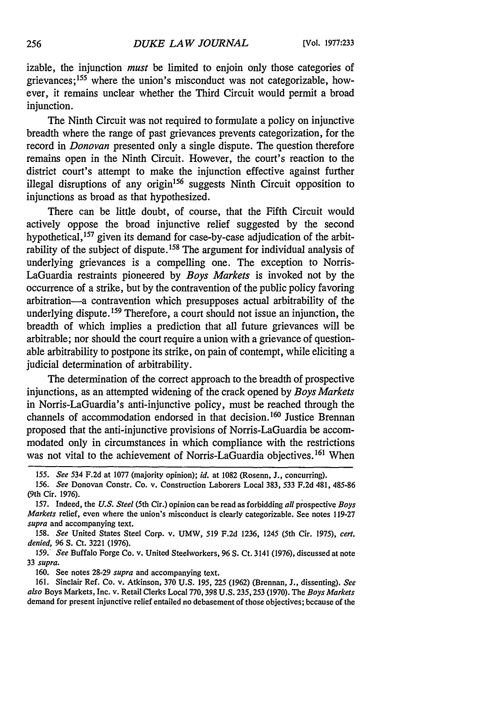izable, the injunction *must* be limited to enjoin only those categories of grievances; 155 where the union's misconduct was not categorizable, however, it remains unclear whether the Third Circuit would permit a broad injunction.

The Ninth Circuit was not required to formulate a policy on injunctive breadth where the range of past grievances prevents categorization, for the record in *Donovan* presented only a single dispute. The question therefore remains open in the Ninth Circuit. However, the court's reaction to the district court's attempt to make the injunction effective against further illegal disruptions of any origin<sup>156</sup> suggests Ninth Circuit opposition to injunctions as broad as that hypothesized.

There can be little doubt, of course, that the Fifth Circuit would actively oppose the broad injunctive relief suggested by the second hypothetical, <sup>157</sup> given its demand for case-by-case adjudication of the arbitrability of the subject of dispute.<sup>158</sup> The argument for individual analysis of underlying grievances is a compelling one. The exception to Norris-LaGuardia restraints pioneered by *Boys Markets* is invoked not by the occurrence of a strike, but by the contravention of the public policy favoring arbitration-a contravention which presupposes actual arbitrability of the underlying dispute.<sup>159</sup> Therefore, a court should not issue an injunction, the breadth of which implies a prediction that all future grievances will be arbitrable; nor should the court require a union with a grievance of questionable arbitrability to postpone its strike, on pain of contempt, while eliciting a judicial determination of arbitrability.

The determination of the correct approach to the breadth of prospective injunctions, as an attempted widening of the crack opened by *Boys Markets* in Norris-LaGuardia's anti-injunctive policy, must be reached through the channels of accommodation endorsed in that decision.<sup>160</sup> Justice Brennan proposed that the anti-injunctive provisions of Norris-LaGuardia be accommodated only in circumstances in which compliance with the restrictions was not vital to the achievement of Norris-LaGuardia objectives.<sup>161</sup> When

157. Indeed, the *U.S. Steel* (5th Cir.) opinion can be read as forbidding *all* prospective *Boys Markets* relief, even where the union's misconduct is clearly categorizable. See notes 119-27 *supra* and accompanying text.

158. *See* United States Steel Corp. v. UMW, 519 F.2d 1236, 1245 (5th Cir. 1975), *cert. denied,* 96 S. Ct. 3221 (1976).

159. *See* Buffalo Forge Co. v. United Steelworkers, 96 S. Ct. 3141 (1976), discussed at note 33 supra.

160. See notes 28-29 *supra* and accompanying text.

161. Sinclair Ref. Co. v. Atkinson, 370 U.S. 195, 225 (1962) (Brennan, J., dissenting). *See also* Boys Markets, Inc. v. Retail Clerks Local 770, 398 U.S. 235, 253 (1970). The *Boys Markets* demand for present injunctive relief entailed no debasement of those objectives; because of the

*<sup>155.</sup> See* 534 F.2d at 1077 (majority opinion); *id.* at 1082 (Rosenn, J., concurring).

*<sup>156.</sup> See* Donovan Constr. Co. v. Construction Laborers Local 383, 533 F.2d 481, 485-86 (9th Cir. 1976).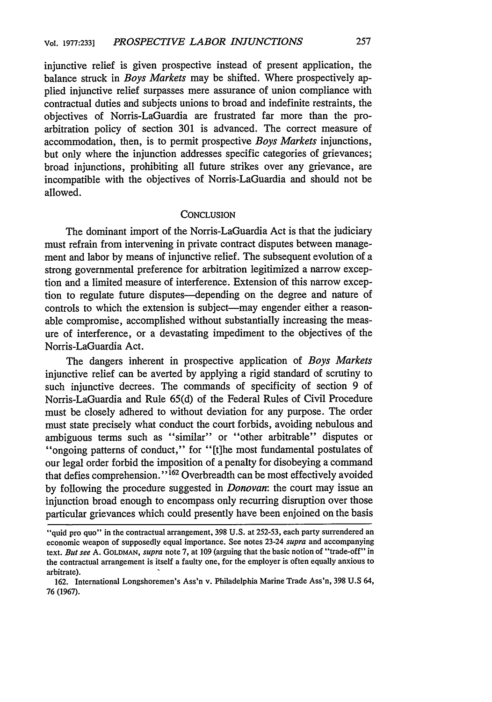injunctive relief is given prospective instead of present application, the balance struck in *Boys Markets* may be shifted. Where prospectively applied injunctive relief surpasses mere assurance of union compliance with contractual duties and subjects unions to broad and indefinite restraints, the objectives of Norris-LaGuardia are frustrated far more than the proarbitration policy of section 301 is advanced. The correct measure of accommodation, then, is to permit prospective *Boys Markets* injunctions, but only where the injunction addresses specific categories of grievances; broad injunctions, prohibiting all future strikes over any grievance, are incompatible with the objectives of Norris-LaGuardia and should not be allowed.

#### **CONCLUSION**

The dominant import of the Norris-LaGuardia Act is that the judiciary must refrain from intervening in private contract disputes between management and labor by means of injunctive relief. The subsequent evolution of a strong governmental preference for arbitration legitimized a narrow exception and a limited measure of interference. Extension of this narrow exception to regulate future disputes-depending on the degree and nature of controls to which the extension is subject—may engender either a reasonable compromise, accomplished without substantially increasing the measure of interference, or a devastating impediment to the objectives of the Norris-LaGuardia Act.

The dangers inherent in prospective application of *Boys Markets* injunctive relief can be averted by applying a rigid standard of scrutiny to such injunctive decrees. The commands of specificity of section 9 of Norris-LaGuardia and Rule 65(d) of the Federal Rules of Civil Procedure must be closely adhered to without deviation for any purpose. The order must state precisely what conduct the court forbids, avoiding nebulous and ambiguous terms such as "similar" or "other arbitrable" disputes or "ongoing patterns of conduct," for "[t]he most fundamental postulates of our legal order forbid the imposition of a penalty for disobeying a command that defies comprehension." 162 Overbreadth can be most effectively avoided by following the procedure suggested in *Donovan:* the court may issue an injunction broad enough to encompass only recurring disruption over those particular grievances which could presently have been enjoined on the basis

<sup>&</sup>quot;quid pro quo" in the contractual arrangement, 398 U.S. at **252-53,** each party surrendered an economic weapon of supposedly equal importance. See notes 23-24 *supra* and accompanying text. *But see* A. **GOLDMAN,** *supra* note 7, at 109 (arguing that the basic notion of "trade-off" in the contractual arrangement is itself a faulty one, for the employer is often equally anxious to arbitrate).

<sup>162.</sup> International Longshoremen's Ass'n v. Philadelphia Marine Trade Ass'n, 398 U.S 64, 76 (1967).